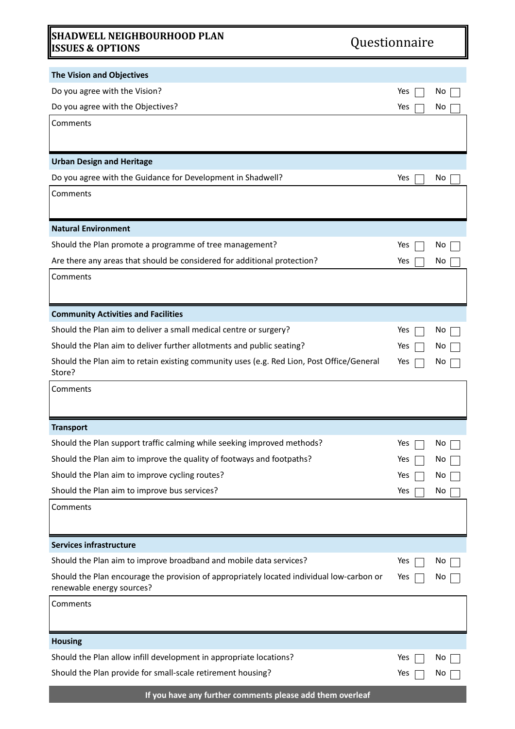## **SHADWELL NEIGHBOURHOOD PLAN ISSUES & OPTIONS** Questionnaire

| Questionnaire |  |
|---------------|--|
|               |  |

| <b>The Vision and Objectives</b><br>Do you agree with the Vision?<br>Yes<br>No<br>Do you agree with the Objectives?<br>Yes<br>No<br>Comments<br><b>Urban Design and Heritage</b><br>Do you agree with the Guidance for Development in Shadwell?<br>Yes<br>No.<br>Comments<br><b>Natural Environment</b><br>Should the Plan promote a programme of tree management?<br>Yes<br>No<br>Are there any areas that should be considered for additional protection?<br>Yes<br>No<br>Comments<br><b>Community Activities and Facilities</b><br>Should the Plan aim to deliver a small medical centre or surgery?<br>Yes<br>No<br>Should the Plan aim to deliver further allotments and public seating?<br>Yes<br>No<br>Should the Plan aim to retain existing community uses (e.g. Red Lion, Post Office/General<br>Yes<br>Νo<br>Store?<br>Comments<br><b>Transport</b><br>Should the Plan support traffic calming while seeking improved methods?<br>Yes<br>No<br>Should the Plan aim to improve the quality of footways and footpaths?<br>Yes<br>No<br>Should the Plan aim to improve cycling routes?<br>Yes<br>No<br>Should the Plan aim to improve bus services?<br>Yes<br>No<br>Comments<br><b>Services infrastructure</b><br>Should the Plan aim to improve broadband and mobile data services?<br>Yes<br>No<br>Should the Plan encourage the provision of appropriately located individual low-carbon or<br>Yes<br>No<br>renewable energy sources?<br>Comments<br><b>Housing</b><br>Should the Plan allow infill development in appropriate locations?<br>Yes<br>No<br>Should the Plan provide for small-scale retirement housing?<br>Yes<br>No. |  |  |
|------------------------------------------------------------------------------------------------------------------------------------------------------------------------------------------------------------------------------------------------------------------------------------------------------------------------------------------------------------------------------------------------------------------------------------------------------------------------------------------------------------------------------------------------------------------------------------------------------------------------------------------------------------------------------------------------------------------------------------------------------------------------------------------------------------------------------------------------------------------------------------------------------------------------------------------------------------------------------------------------------------------------------------------------------------------------------------------------------------------------------------------------------------------------------------------------------------------------------------------------------------------------------------------------------------------------------------------------------------------------------------------------------------------------------------------------------------------------------------------------------------------------------------------------------------------------------------------------------------------------------------------------|--|--|
|                                                                                                                                                                                                                                                                                                                                                                                                                                                                                                                                                                                                                                                                                                                                                                                                                                                                                                                                                                                                                                                                                                                                                                                                                                                                                                                                                                                                                                                                                                                                                                                                                                                |  |  |
|                                                                                                                                                                                                                                                                                                                                                                                                                                                                                                                                                                                                                                                                                                                                                                                                                                                                                                                                                                                                                                                                                                                                                                                                                                                                                                                                                                                                                                                                                                                                                                                                                                                |  |  |
|                                                                                                                                                                                                                                                                                                                                                                                                                                                                                                                                                                                                                                                                                                                                                                                                                                                                                                                                                                                                                                                                                                                                                                                                                                                                                                                                                                                                                                                                                                                                                                                                                                                |  |  |
|                                                                                                                                                                                                                                                                                                                                                                                                                                                                                                                                                                                                                                                                                                                                                                                                                                                                                                                                                                                                                                                                                                                                                                                                                                                                                                                                                                                                                                                                                                                                                                                                                                                |  |  |
|                                                                                                                                                                                                                                                                                                                                                                                                                                                                                                                                                                                                                                                                                                                                                                                                                                                                                                                                                                                                                                                                                                                                                                                                                                                                                                                                                                                                                                                                                                                                                                                                                                                |  |  |
|                                                                                                                                                                                                                                                                                                                                                                                                                                                                                                                                                                                                                                                                                                                                                                                                                                                                                                                                                                                                                                                                                                                                                                                                                                                                                                                                                                                                                                                                                                                                                                                                                                                |  |  |
|                                                                                                                                                                                                                                                                                                                                                                                                                                                                                                                                                                                                                                                                                                                                                                                                                                                                                                                                                                                                                                                                                                                                                                                                                                                                                                                                                                                                                                                                                                                                                                                                                                                |  |  |
|                                                                                                                                                                                                                                                                                                                                                                                                                                                                                                                                                                                                                                                                                                                                                                                                                                                                                                                                                                                                                                                                                                                                                                                                                                                                                                                                                                                                                                                                                                                                                                                                                                                |  |  |
|                                                                                                                                                                                                                                                                                                                                                                                                                                                                                                                                                                                                                                                                                                                                                                                                                                                                                                                                                                                                                                                                                                                                                                                                                                                                                                                                                                                                                                                                                                                                                                                                                                                |  |  |
|                                                                                                                                                                                                                                                                                                                                                                                                                                                                                                                                                                                                                                                                                                                                                                                                                                                                                                                                                                                                                                                                                                                                                                                                                                                                                                                                                                                                                                                                                                                                                                                                                                                |  |  |
|                                                                                                                                                                                                                                                                                                                                                                                                                                                                                                                                                                                                                                                                                                                                                                                                                                                                                                                                                                                                                                                                                                                                                                                                                                                                                                                                                                                                                                                                                                                                                                                                                                                |  |  |
|                                                                                                                                                                                                                                                                                                                                                                                                                                                                                                                                                                                                                                                                                                                                                                                                                                                                                                                                                                                                                                                                                                                                                                                                                                                                                                                                                                                                                                                                                                                                                                                                                                                |  |  |
|                                                                                                                                                                                                                                                                                                                                                                                                                                                                                                                                                                                                                                                                                                                                                                                                                                                                                                                                                                                                                                                                                                                                                                                                                                                                                                                                                                                                                                                                                                                                                                                                                                                |  |  |
|                                                                                                                                                                                                                                                                                                                                                                                                                                                                                                                                                                                                                                                                                                                                                                                                                                                                                                                                                                                                                                                                                                                                                                                                                                                                                                                                                                                                                                                                                                                                                                                                                                                |  |  |
|                                                                                                                                                                                                                                                                                                                                                                                                                                                                                                                                                                                                                                                                                                                                                                                                                                                                                                                                                                                                                                                                                                                                                                                                                                                                                                                                                                                                                                                                                                                                                                                                                                                |  |  |
|                                                                                                                                                                                                                                                                                                                                                                                                                                                                                                                                                                                                                                                                                                                                                                                                                                                                                                                                                                                                                                                                                                                                                                                                                                                                                                                                                                                                                                                                                                                                                                                                                                                |  |  |
|                                                                                                                                                                                                                                                                                                                                                                                                                                                                                                                                                                                                                                                                                                                                                                                                                                                                                                                                                                                                                                                                                                                                                                                                                                                                                                                                                                                                                                                                                                                                                                                                                                                |  |  |
|                                                                                                                                                                                                                                                                                                                                                                                                                                                                                                                                                                                                                                                                                                                                                                                                                                                                                                                                                                                                                                                                                                                                                                                                                                                                                                                                                                                                                                                                                                                                                                                                                                                |  |  |
|                                                                                                                                                                                                                                                                                                                                                                                                                                                                                                                                                                                                                                                                                                                                                                                                                                                                                                                                                                                                                                                                                                                                                                                                                                                                                                                                                                                                                                                                                                                                                                                                                                                |  |  |
|                                                                                                                                                                                                                                                                                                                                                                                                                                                                                                                                                                                                                                                                                                                                                                                                                                                                                                                                                                                                                                                                                                                                                                                                                                                                                                                                                                                                                                                                                                                                                                                                                                                |  |  |
|                                                                                                                                                                                                                                                                                                                                                                                                                                                                                                                                                                                                                                                                                                                                                                                                                                                                                                                                                                                                                                                                                                                                                                                                                                                                                                                                                                                                                                                                                                                                                                                                                                                |  |  |
|                                                                                                                                                                                                                                                                                                                                                                                                                                                                                                                                                                                                                                                                                                                                                                                                                                                                                                                                                                                                                                                                                                                                                                                                                                                                                                                                                                                                                                                                                                                                                                                                                                                |  |  |
|                                                                                                                                                                                                                                                                                                                                                                                                                                                                                                                                                                                                                                                                                                                                                                                                                                                                                                                                                                                                                                                                                                                                                                                                                                                                                                                                                                                                                                                                                                                                                                                                                                                |  |  |
|                                                                                                                                                                                                                                                                                                                                                                                                                                                                                                                                                                                                                                                                                                                                                                                                                                                                                                                                                                                                                                                                                                                                                                                                                                                                                                                                                                                                                                                                                                                                                                                                                                                |  |  |
|                                                                                                                                                                                                                                                                                                                                                                                                                                                                                                                                                                                                                                                                                                                                                                                                                                                                                                                                                                                                                                                                                                                                                                                                                                                                                                                                                                                                                                                                                                                                                                                                                                                |  |  |
|                                                                                                                                                                                                                                                                                                                                                                                                                                                                                                                                                                                                                                                                                                                                                                                                                                                                                                                                                                                                                                                                                                                                                                                                                                                                                                                                                                                                                                                                                                                                                                                                                                                |  |  |
|                                                                                                                                                                                                                                                                                                                                                                                                                                                                                                                                                                                                                                                                                                                                                                                                                                                                                                                                                                                                                                                                                                                                                                                                                                                                                                                                                                                                                                                                                                                                                                                                                                                |  |  |
|                                                                                                                                                                                                                                                                                                                                                                                                                                                                                                                                                                                                                                                                                                                                                                                                                                                                                                                                                                                                                                                                                                                                                                                                                                                                                                                                                                                                                                                                                                                                                                                                                                                |  |  |
|                                                                                                                                                                                                                                                                                                                                                                                                                                                                                                                                                                                                                                                                                                                                                                                                                                                                                                                                                                                                                                                                                                                                                                                                                                                                                                                                                                                                                                                                                                                                                                                                                                                |  |  |
|                                                                                                                                                                                                                                                                                                                                                                                                                                                                                                                                                                                                                                                                                                                                                                                                                                                                                                                                                                                                                                                                                                                                                                                                                                                                                                                                                                                                                                                                                                                                                                                                                                                |  |  |
|                                                                                                                                                                                                                                                                                                                                                                                                                                                                                                                                                                                                                                                                                                                                                                                                                                                                                                                                                                                                                                                                                                                                                                                                                                                                                                                                                                                                                                                                                                                                                                                                                                                |  |  |
|                                                                                                                                                                                                                                                                                                                                                                                                                                                                                                                                                                                                                                                                                                                                                                                                                                                                                                                                                                                                                                                                                                                                                                                                                                                                                                                                                                                                                                                                                                                                                                                                                                                |  |  |
|                                                                                                                                                                                                                                                                                                                                                                                                                                                                                                                                                                                                                                                                                                                                                                                                                                                                                                                                                                                                                                                                                                                                                                                                                                                                                                                                                                                                                                                                                                                                                                                                                                                |  |  |
|                                                                                                                                                                                                                                                                                                                                                                                                                                                                                                                                                                                                                                                                                                                                                                                                                                                                                                                                                                                                                                                                                                                                                                                                                                                                                                                                                                                                                                                                                                                                                                                                                                                |  |  |
|                                                                                                                                                                                                                                                                                                                                                                                                                                                                                                                                                                                                                                                                                                                                                                                                                                                                                                                                                                                                                                                                                                                                                                                                                                                                                                                                                                                                                                                                                                                                                                                                                                                |  |  |
|                                                                                                                                                                                                                                                                                                                                                                                                                                                                                                                                                                                                                                                                                                                                                                                                                                                                                                                                                                                                                                                                                                                                                                                                                                                                                                                                                                                                                                                                                                                                                                                                                                                |  |  |
|                                                                                                                                                                                                                                                                                                                                                                                                                                                                                                                                                                                                                                                                                                                                                                                                                                                                                                                                                                                                                                                                                                                                                                                                                                                                                                                                                                                                                                                                                                                                                                                                                                                |  |  |
| If you have any further comments please add them overleaf                                                                                                                                                                                                                                                                                                                                                                                                                                                                                                                                                                                                                                                                                                                                                                                                                                                                                                                                                                                                                                                                                                                                                                                                                                                                                                                                                                                                                                                                                                                                                                                      |  |  |